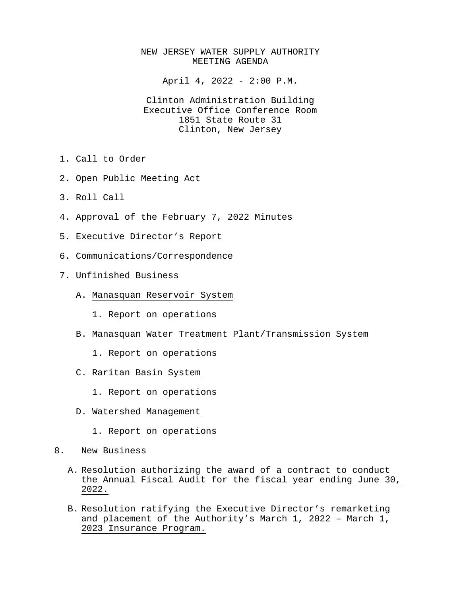## NEW JERSEY WATER SUPPLY AUTHORITY MEETING AGENDA

April 4, 2022 - 2:00 P.M.

Clinton Administration Building Executive Office Conference Room 1851 State Route 31 Clinton, New Jersey

- 1. Call to Order
- 2. Open Public Meeting Act
- 3. Roll Call
- 4. Approval of the February 7, 2022 Minutes
- 5. Executive Director's Report
- 6. Communications/Correspondence
- 7. Unfinished Business
	- A. Manasquan Reservoir System
		- 1. Report on operations
	- B. Manasquan Water Treatment Plant/Transmission System
		- 1. Report on operations
	- C. Raritan Basin System
		- 1. Report on operations
	- D. Watershed Management
		- 1. Report on operations
- 8. New Business
	- A. Resolution authorizing the award of a contract to conduct the Annual Fiscal Audit for the fiscal year ending June 30, 2022.
	- B. Resolution ratifying the Executive Director's remarketing and placement of the Authority's March 1, 2022 – March 1, 2023 Insurance Program.